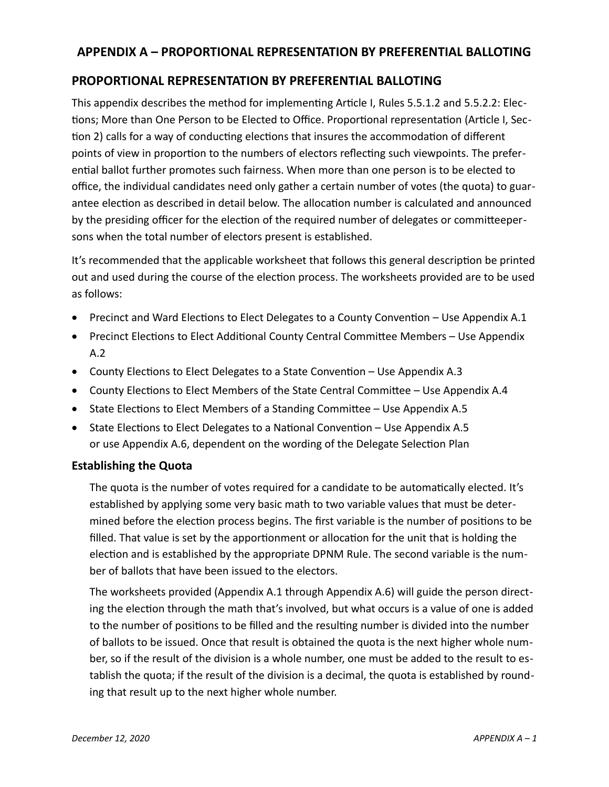# **APPENDIX A – PROPORTIONAL REPRESENTATION BY PREFERENTIAL BALLOTING**

# **PROPORTIONAL REPRESENTATION BY PREFERENTIAL BALLOTING**

This appendix describes the method for implementing Article I, Rules 5.5.1.2 and 5.5.2.2: Elections; More than One Person to be Elected to Office. Proportional representation (Article I, Section 2) calls for a way of conducting elections that insures the accommodation of different points of view in proportion to the numbers of electors reflecting such viewpoints. The preferential ballot further promotes such fairness. When more than one person is to be elected to office, the individual candidates need only gather a certain number of votes (the quota) to guarantee election as described in detail below. The allocation number is calculated and announced by the presiding officer for the election of the required number of delegates or committeepersons when the total number of electors present is established.

It's recommended that the applicable worksheet that follows this general description be printed out and used during the course of the election process. The worksheets provided are to be used as follows:

- Precinct and Ward Elections to Elect Delegates to a County Convention Use Appendix A.1
- Precinct Elections to Elect Additional County Central Committee Members Use Appendix A.2
- County Elections to Elect Delegates to a State Convention Use Appendix A.3
- County Elections to Elect Members of the State Central Committee Use Appendix A.4
- State Elections to Elect Members of a Standing Committee Use Appendix A.5
- State Elections to Elect Delegates to a National Convention Use Appendix A.5 or use Appendix A.6, dependent on the wording of the Delegate Selection Plan

# **Establishing the Quota**

The quota is the number of votes required for a candidate to be automatically elected. It's established by applying some very basic math to two variable values that must be determined before the election process begins. The first variable is the number of positions to be filled. That value is set by the apportionment or allocation for the unit that is holding the election and is established by the appropriate DPNM Rule. The second variable is the number of ballots that have been issued to the electors.

The worksheets provided (Appendix A.1 through Appendix A.6) will guide the person directing the election through the math that's involved, but what occurs is a value of one is added to the number of positions to be filled and the resulting number is divided into the number of ballots to be issued. Once that result is obtained the quota is the next higher whole number, so if the result of the division is a whole number, one must be added to the result to establish the quota; if the result of the division is a decimal, the quota is established by rounding that result up to the next higher whole number.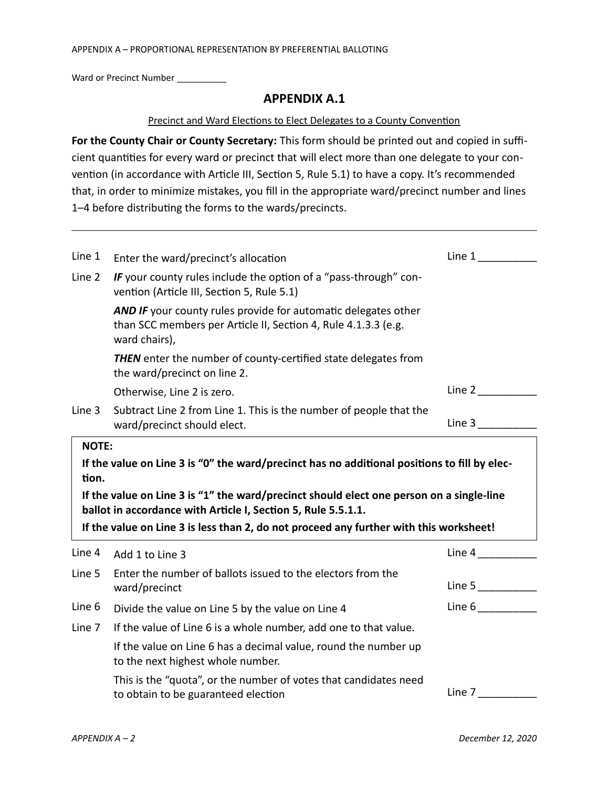Ward or Precinct Number \_\_\_\_\_\_\_\_\_\_

### **APPENDIX A.1**

#### Precinct and Ward Elections to Elect Delegates to a County Convention

**For the County Chair or County Secretary:** This form should be printed out and copied in sufficient quantities for every ward or precinct that will elect more than one delegate to your convention (in accordance with Article III, Section 5, Rule 5.1) to have a copy. It's recommended that, in order to minimize mistakes, you fill in the appropriate ward/precinct number and lines 1–4 before distributing the forms to the wards/precincts.

| Line 1 | Enter the ward/precinct's allocation                                                                                                                                                                                                                | Line 1 |
|--------|-----------------------------------------------------------------------------------------------------------------------------------------------------------------------------------------------------------------------------------------------------|--------|
| Line 2 | IF your county rules include the option of a "pass-through" con-<br>vention (Article III, Section 5, Rule 5.1)                                                                                                                                      |        |
|        | <b>AND IF</b> your county rules provide for automatic delegates other<br>than SCC members per Article II, Section 4, Rule 4.1.3.3 (e.g.<br>ward chairs),                                                                                            |        |
|        | <b>THEN</b> enter the number of county-certified state delegates from<br>the ward/precinct on line 2.                                                                                                                                               |        |
|        | Otherwise, Line 2 is zero.                                                                                                                                                                                                                          | Line 2 |
| Line 3 | Subtract Line 2 from Line 1. This is the number of people that the<br>ward/precinct should elect.                                                                                                                                                   | Line 3 |
| tion.  | If the value on Line 3 is "0" the ward/precinct has no additional positions to fill by elec-                                                                                                                                                        |        |
|        | If the value on Line 3 is "1" the ward/precinct should elect one person on a single-line<br>ballot in accordance with Article I, Section 5, Rule 5.5.1.1.<br>If the value on Line 3 is less than 2, do not proceed any further with this worksheet! |        |
| Line 4 | Add 1 to Line 3                                                                                                                                                                                                                                     | Line 4 |
| Line 5 | Enter the number of ballots issued to the electors from the<br>ward/precinct                                                                                                                                                                        | Line 5 |
| Line 6 | Divide the value on Line 5 by the value on Line 4                                                                                                                                                                                                   |        |
|        | If the value of Line 6 is a whole number, add one to that value.                                                                                                                                                                                    |        |
| Line 7 | If the value on Line 6 has a decimal value, round the number up<br>to the next highest whole number.                                                                                                                                                | Line 6 |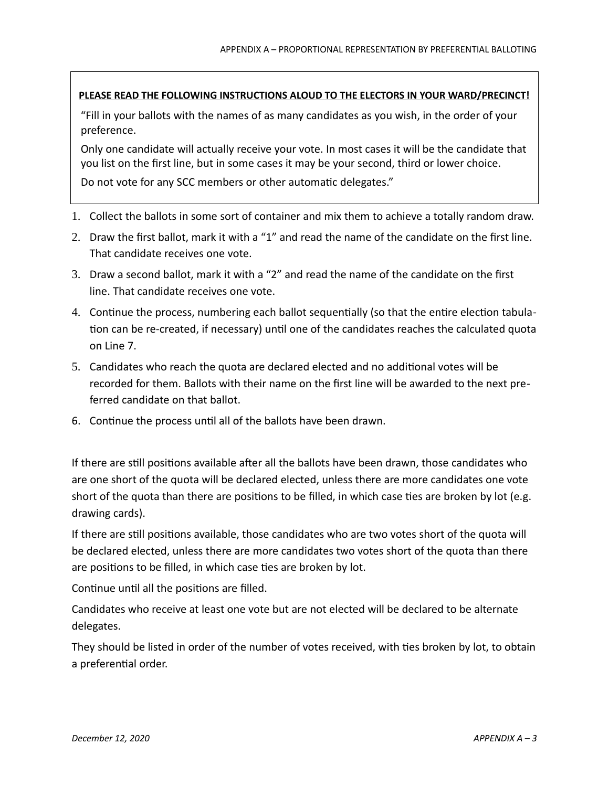### **PLEASE READ THE FOLLOWING INSTRUCTIONS ALOUD TO THE ELECTORS IN YOUR WARD/PRECINCT!**

"Fill in your ballots with the names of as many candidates as you wish, in the order of your preference.

Only one candidate will actually receive your vote. In most cases it will be the candidate that you list on the first line, but in some cases it may be your second, third or lower choice.

Do not vote for any SCC members or other automatic delegates."

- 1. Collect the ballots in some sort of container and mix them to achieve a totally random draw.
- 2. Draw the first ballot, mark it with a "1" and read the name of the candidate on the first line. That candidate receives one vote.
- 3. Draw a second ballot, mark it with a "2" and read the name of the candidate on the first line. That candidate receives one vote.
- 4. Continue the process, numbering each ballot sequentially (so that the entire election tabulation can be re-created, if necessary) until one of the candidates reaches the calculated quota on Line 7.
- 5. Candidates who reach the quota are declared elected and no additional votes will be recorded for them. Ballots with their name on the first line will be awarded to the next preferred candidate on that ballot.
- 6. Continue the process until all of the ballots have been drawn.

If there are still positions available after all the ballots have been drawn, those candidates who are one short of the quota will be declared elected, unless there are more candidates one vote short of the quota than there are positions to be filled, in which case ties are broken by lot (e.g. drawing cards).

If there are still positions available, those candidates who are two votes short of the quota will be declared elected, unless there are more candidates two votes short of the quota than there are positions to be filled, in which case ties are broken by lot.

Continue until all the positions are filled.

Candidates who receive at least one vote but are not elected will be declared to be alternate delegates.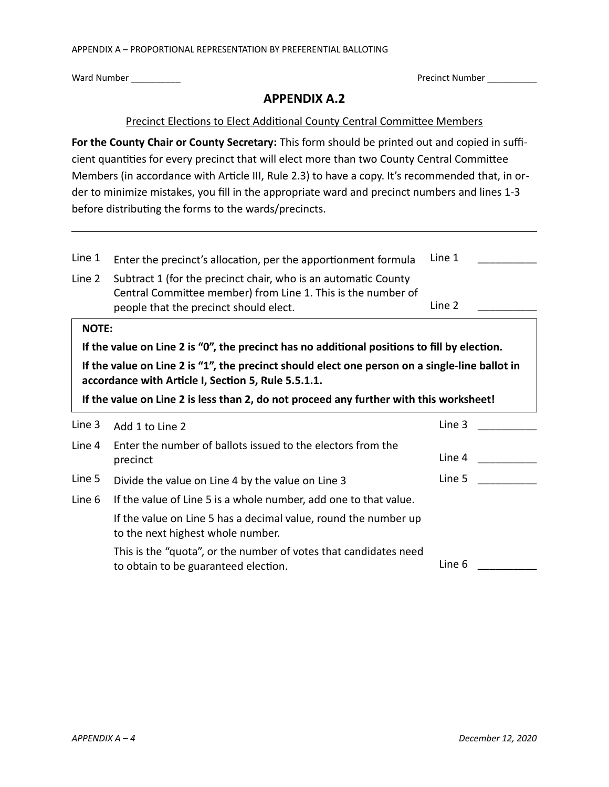Ward Number \_\_\_\_\_\_\_\_\_\_ Precinct Number \_\_\_\_\_\_\_\_\_\_

# **APPENDIX A.2**

### Precinct Elections to Elect Additional County Central Committee Members

**For the County Chair or County Secretary:** This form should be printed out and copied in sufficient quantities for every precinct that will elect more than two County Central Committee Members (in accordance with Article III, Rule 2.3) to have a copy. It's recommended that, in order to minimize mistakes, you fill in the appropriate ward and precinct numbers and lines 1-3 before distributing the forms to the wards/precincts.

| Line 1                                                                                                                                                | Enter the precinct's allocation, per the apportionment formula                                                                                                           | Line 1 |  |  |
|-------------------------------------------------------------------------------------------------------------------------------------------------------|--------------------------------------------------------------------------------------------------------------------------------------------------------------------------|--------|--|--|
| Line 2                                                                                                                                                | Subtract 1 (for the precinct chair, who is an automatic County<br>Central Committee member) from Line 1. This is the number of<br>people that the precinct should elect. | Line 2 |  |  |
| <b>NOTE:</b>                                                                                                                                          |                                                                                                                                                                          |        |  |  |
|                                                                                                                                                       | If the value on Line 2 is "0", the precinct has no additional positions to fill by election.                                                                             |        |  |  |
| If the value on Line 2 is "1", the precinct should elect one person on a single-line ballot in<br>accordance with Article I, Section 5, Rule 5.5.1.1. |                                                                                                                                                                          |        |  |  |
| If the value on Line 2 is less than 2, do not proceed any further with this worksheet!                                                                |                                                                                                                                                                          |        |  |  |
| Line 3                                                                                                                                                | Add 1 to Line 2                                                                                                                                                          | Line 3 |  |  |
| Line 4                                                                                                                                                | Enter the number of ballots issued to the electors from the<br>precinct                                                                                                  | Line 4 |  |  |
|                                                                                                                                                       |                                                                                                                                                                          |        |  |  |
| Line 5                                                                                                                                                | Divide the value on Line 4 by the value on Line 3                                                                                                                        | Line 5 |  |  |
| Line 6                                                                                                                                                | If the value of Line 5 is a whole number, add one to that value.                                                                                                         |        |  |  |
|                                                                                                                                                       | If the value on Line 5 has a decimal value, round the number up<br>to the next highest whole number.                                                                     |        |  |  |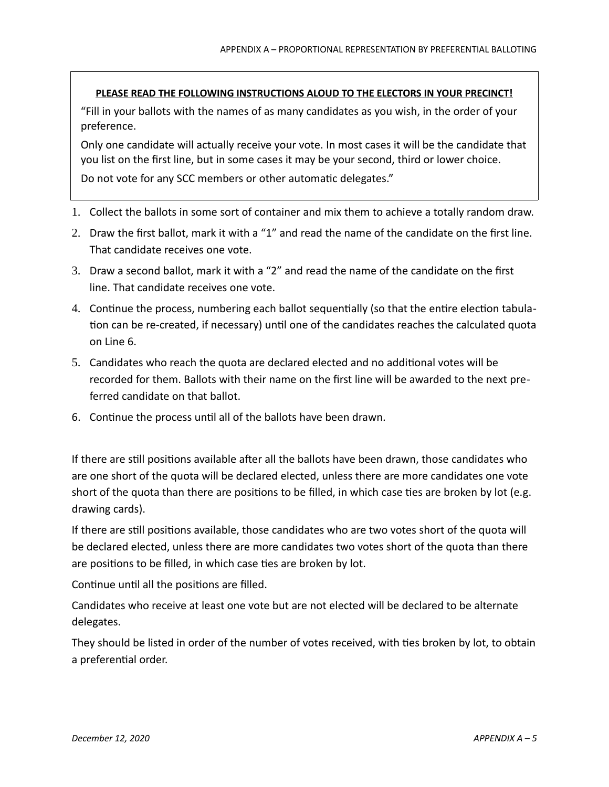### **PLEASE READ THE FOLLOWING INSTRUCTIONS ALOUD TO THE ELECTORS IN YOUR PRECINCT!**

"Fill in your ballots with the names of as many candidates as you wish, in the order of your preference.

Only one candidate will actually receive your vote. In most cases it will be the candidate that you list on the first line, but in some cases it may be your second, third or lower choice.

Do not vote for any SCC members or other automatic delegates."

- 1. Collect the ballots in some sort of container and mix them to achieve a totally random draw.
- 2. Draw the first ballot, mark it with a "1" and read the name of the candidate on the first line. That candidate receives one vote.
- 3. Draw a second ballot, mark it with a "2" and read the name of the candidate on the first line. That candidate receives one vote.
- 4. Continue the process, numbering each ballot sequentially (so that the entire election tabulation can be re-created, if necessary) until one of the candidates reaches the calculated quota on Line 6.
- 5. Candidates who reach the quota are declared elected and no additional votes will be recorded for them. Ballots with their name on the first line will be awarded to the next preferred candidate on that ballot.
- 6. Continue the process until all of the ballots have been drawn.

If there are still positions available after all the ballots have been drawn, those candidates who are one short of the quota will be declared elected, unless there are more candidates one vote short of the quota than there are positions to be filled, in which case ties are broken by lot (e.g. drawing cards).

If there are still positions available, those candidates who are two votes short of the quota will be declared elected, unless there are more candidates two votes short of the quota than there are positions to be filled, in which case ties are broken by lot.

Continue until all the positions are filled.

Candidates who receive at least one vote but are not elected will be declared to be alternate delegates.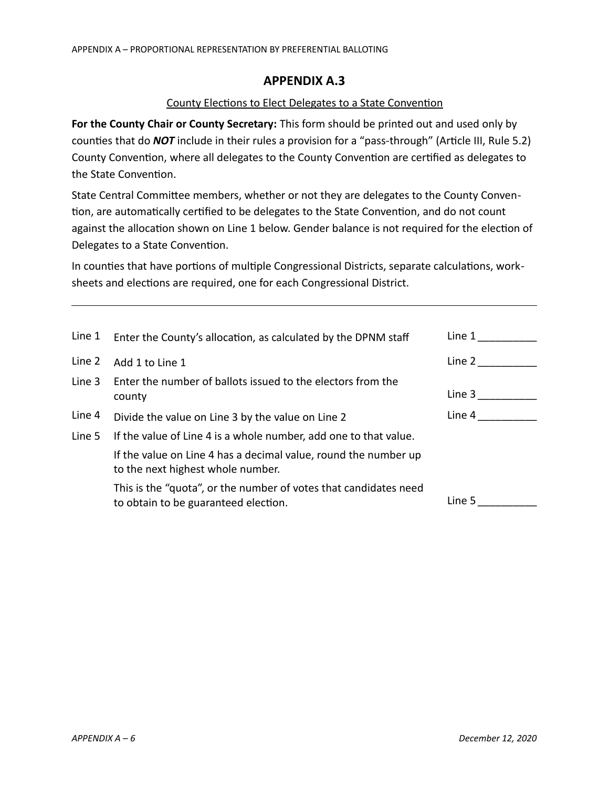### County Elections to Elect Delegates to a State Convention

**For the County Chair or County Secretary:** This form should be printed out and used only by counties that do *NOT* include in their rules a provision for a "pass-through" (Article III, Rule 5.2) County Convention, where all delegates to the County Convention are certified as delegates to the State Convention.

State Central Committee members, whether or not they are delegates to the County Convention, are automatically certified to be delegates to the State Convention, and do not count against the allocation shown on Line 1 below. Gender balance is not required for the election of Delegates to a State Convention.

In counties that have portions of multiple Congressional Districts, separate calculations, worksheets and elections are required, one for each Congressional District.

| Line 1 | Enter the County's allocation, as calculated by the DPNM staff                                           | Line 1 |
|--------|----------------------------------------------------------------------------------------------------------|--------|
| Line 2 | Add 1 to Line 1                                                                                          | Line 2 |
| Line 3 | Enter the number of ballots issued to the electors from the<br>county                                    | Line 3 |
| Line 4 | Divide the value on Line 3 by the value on Line 2                                                        | Line 4 |
| Line 5 | If the value of Line 4 is a whole number, add one to that value.                                         |        |
|        | If the value on Line 4 has a decimal value, round the number up<br>to the next highest whole number.     |        |
|        | This is the "quota", or the number of votes that candidates need<br>to obtain to be guaranteed election. | Line 5 |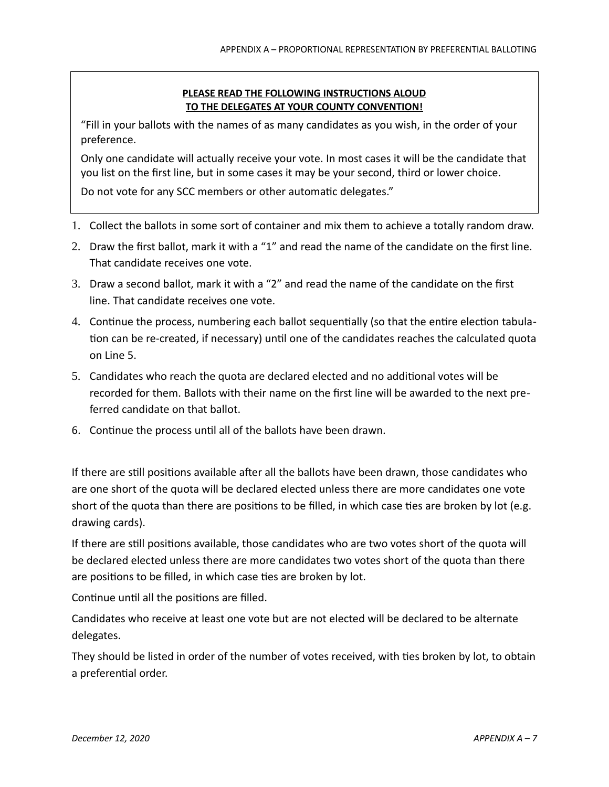### **PLEASE READ THE FOLLOWING INSTRUCTIONS ALOUD TO THE DELEGATES AT YOUR COUNTY CONVENTION!**

"Fill in your ballots with the names of as many candidates as you wish, in the order of your preference.

Only one candidate will actually receive your vote. In most cases it will be the candidate that you list on the first line, but in some cases it may be your second, third or lower choice.

Do not vote for any SCC members or other automatic delegates."

- 1. Collect the ballots in some sort of container and mix them to achieve a totally random draw.
- 2. Draw the first ballot, mark it with a "1" and read the name of the candidate on the first line. That candidate receives one vote.
- 3. Draw a second ballot, mark it with a "2" and read the name of the candidate on the first line. That candidate receives one vote.
- 4. Continue the process, numbering each ballot sequentially (so that the entire election tabulation can be re-created, if necessary) until one of the candidates reaches the calculated quota on Line 5.
- 5. Candidates who reach the quota are declared elected and no additional votes will be recorded for them. Ballots with their name on the first line will be awarded to the next preferred candidate on that ballot.
- 6. Continue the process until all of the ballots have been drawn.

If there are still positions available after all the ballots have been drawn, those candidates who are one short of the quota will be declared elected unless there are more candidates one vote short of the quota than there are positions to be filled, in which case ties are broken by lot (e.g. drawing cards).

If there are still positions available, those candidates who are two votes short of the quota will be declared elected unless there are more candidates two votes short of the quota than there are positions to be filled, in which case ties are broken by lot.

Continue until all the positions are filled.

Candidates who receive at least one vote but are not elected will be declared to be alternate delegates.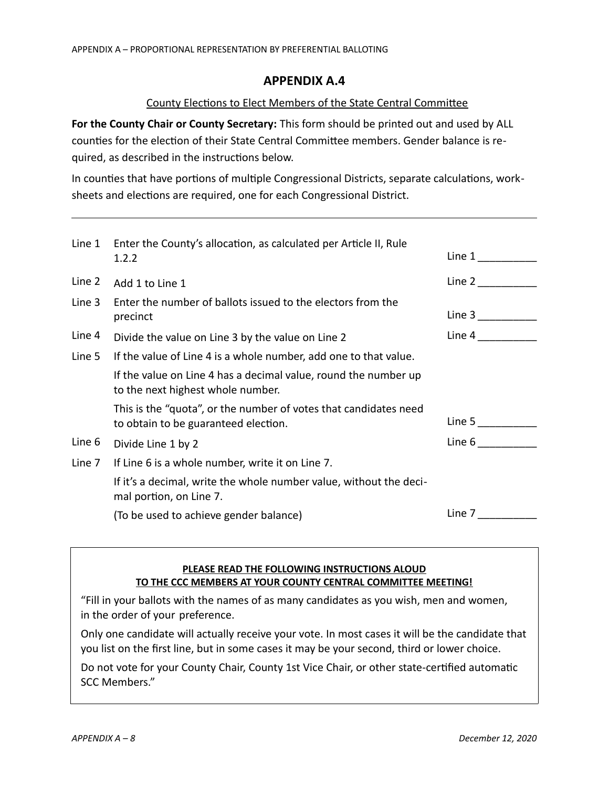### County Elections to Elect Members of the State Central Committee

**For the County Chair or County Secretary:** This form should be printed out and used by ALL counties for the election of their State Central Committee members. Gender balance is required, as described in the instructions below.

In counties that have portions of multiple Congressional Districts, separate calculations, worksheets and elections are required, one for each Congressional District.

| Line 1 | Enter the County's allocation, as calculated per Article II, Rule<br>1.2.2                               | Line 1 |
|--------|----------------------------------------------------------------------------------------------------------|--------|
| Line 2 | Add 1 to Line 1                                                                                          | Line 2 |
| Line 3 | Enter the number of ballots issued to the electors from the<br>precinct                                  | Line 3 |
| Line 4 | Divide the value on Line 3 by the value on Line 2                                                        | Line 4 |
| Line 5 | If the value of Line 4 is a whole number, add one to that value.                                         |        |
|        | If the value on Line 4 has a decimal value, round the number up<br>to the next highest whole number.     |        |
|        | This is the "quota", or the number of votes that candidates need<br>to obtain to be guaranteed election. | Line 5 |
| Line 6 | Divide Line 1 by 2                                                                                       | Line 6 |
| Line 7 | If Line 6 is a whole number, write it on Line 7.                                                         |        |
|        | If it's a decimal, write the whole number value, without the deci-<br>mal portion, on Line 7.            |        |
|        | (To be used to achieve gender balance)                                                                   | Line 7 |

### **PLEASE READ THE FOLLOWING INSTRUCTIONS ALOUD TO THE CCC MEMBERS AT YOUR COUNTY CENTRAL COMMITTEE MEETING!**

"Fill in your ballots with the names of as many candidates as you wish, men and women, in the order of your preference.

Only one candidate will actually receive your vote. In most cases it will be the candidate that you list on the first line, but in some cases it may be your second, third or lower choice.

Do not vote for your County Chair, County 1st Vice Chair, or other state-certified automatic SCC Members."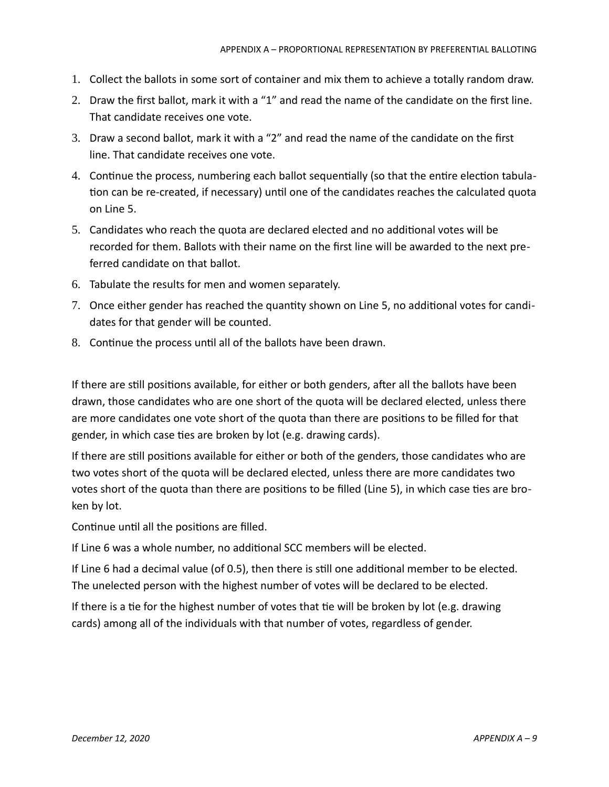- 1. Collect the ballots in some sort of container and mix them to achieve a totally random draw.
- 2. Draw the first ballot, mark it with a "1" and read the name of the candidate on the first line. That candidate receives one vote.
- 3. Draw a second ballot, mark it with a "2" and read the name of the candidate on the first line. That candidate receives one vote.
- 4. Continue the process, numbering each ballot sequentially (so that the entire election tabulation can be re-created, if necessary) until one of the candidates reaches the calculated quota on Line 5.
- 5. Candidates who reach the quota are declared elected and no additional votes will be recorded for them. Ballots with their name on the first line will be awarded to the next preferred candidate on that ballot.
- 6. Tabulate the results for men and women separately.
- 7. Once either gender has reached the quantity shown on Line 5, no additional votes for candidates for that gender will be counted.
- 8. Continue the process until all of the ballots have been drawn.

If there are still positions available, for either or both genders, after all the ballots have been drawn, those candidates who are one short of the quota will be declared elected, unless there are more candidates one vote short of the quota than there are positions to be filled for that gender, in which case ties are broken by lot (e.g. drawing cards).

If there are still positions available for either or both of the genders, those candidates who are two votes short of the quota will be declared elected, unless there are more candidates two votes short of the quota than there are positions to be filled (Line 5), in which case ties are broken by lot.

Continue until all the positions are filled.

If Line 6 was a whole number, no additional SCC members will be elected.

If Line 6 had a decimal value (of 0.5), then there is still one additional member to be elected. The unelected person with the highest number of votes will be declared to be elected.

If there is a tie for the highest number of votes that tie will be broken by lot (e.g. drawing cards) among all of the individuals with that number of votes, regardless of gender.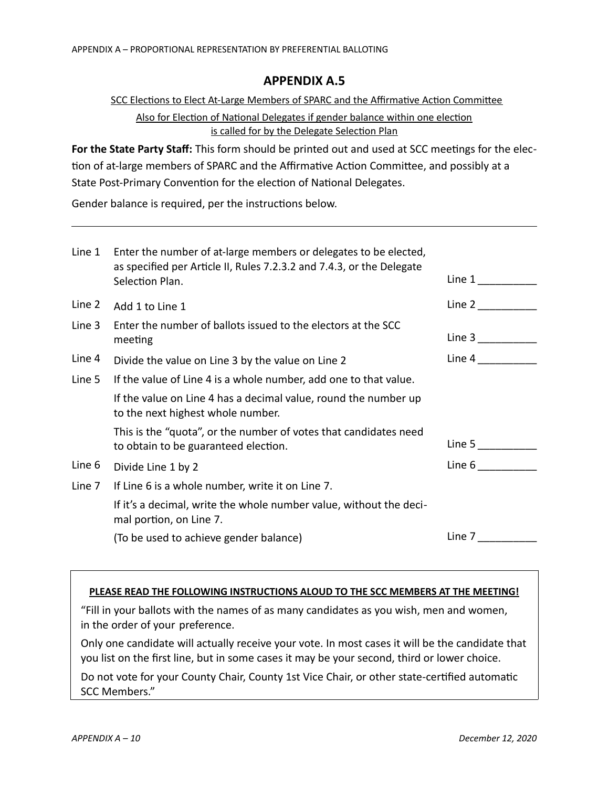### SCC Elections to Elect At-Large Members of SPARC and the Affirmative Action Committee

Also for Election of National Delegates if gender balance within one election is called for by the Delegate Selection Plan

**For the State Party Staff:** This form should be printed out and used at SCC meetings for the election of at-large members of SPARC and the Affirmative Action Committee, and possibly at a State Post-Primary Convention for the election of National Delegates.

Gender balance is required, per the instructions below.

| Line 1 | Enter the number of at-large members or delegates to be elected,<br>as specified per Article II, Rules 7.2.3.2 and 7.4.3, or the Delegate<br>Selection Plan. | Line 1                 |
|--------|--------------------------------------------------------------------------------------------------------------------------------------------------------------|------------------------|
| Line 2 | Add 1 to Line 1                                                                                                                                              | Line 2                 |
| Line 3 | Enter the number of ballots issued to the electors at the SCC<br>meeting                                                                                     | Line 3 $\qquad \qquad$ |
| Line 4 | Divide the value on Line 3 by the value on Line 2                                                                                                            | Line 4                 |
| Line 5 | If the value of Line 4 is a whole number, add one to that value.                                                                                             |                        |
|        | If the value on Line 4 has a decimal value, round the number up<br>to the next highest whole number.                                                         |                        |
|        | This is the "quota", or the number of votes that candidates need<br>to obtain to be guaranteed election.                                                     | Line 5                 |
| Line 6 | Divide Line 1 by 2                                                                                                                                           | Line 6                 |
| Line 7 | If Line 6 is a whole number, write it on Line 7.                                                                                                             |                        |
|        | If it's a decimal, write the whole number value, without the deci-<br>mal portion, on Line 7.                                                                |                        |
|        | (To be used to achieve gender balance)                                                                                                                       | Line 7                 |

#### **PLEASE READ THE FOLLOWING INSTRUCTIONS ALOUD TO THE SCC MEMBERS AT THE MEETING!**

"Fill in your ballots with the names of as many candidates as you wish, men and women, in the order of your preference.

Only one candidate will actually receive your vote. In most cases it will be the candidate that you list on the first line, but in some cases it may be your second, third or lower choice.

Do not vote for your County Chair, County 1st Vice Chair, or other state-certified automatic SCC Members."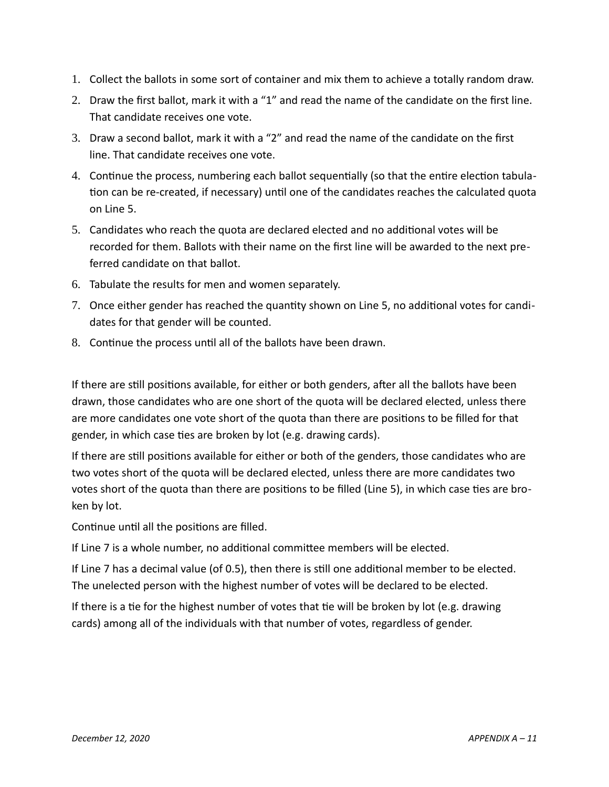- 1. Collect the ballots in some sort of container and mix them to achieve a totally random draw.
- 2. Draw the first ballot, mark it with a "1" and read the name of the candidate on the first line. That candidate receives one vote.
- 3. Draw a second ballot, mark it with a "2" and read the name of the candidate on the first line. That candidate receives one vote.
- 4. Continue the process, numbering each ballot sequentially (so that the entire election tabulation can be re-created, if necessary) until one of the candidates reaches the calculated quota on Line 5.
- 5. Candidates who reach the quota are declared elected and no additional votes will be recorded for them. Ballots with their name on the first line will be awarded to the next preferred candidate on that ballot.
- 6. Tabulate the results for men and women separately.
- 7. Once either gender has reached the quantity shown on Line 5, no additional votes for candidates for that gender will be counted.
- 8. Continue the process until all of the ballots have been drawn.

If there are still positions available, for either or both genders, after all the ballots have been drawn, those candidates who are one short of the quota will be declared elected, unless there are more candidates one vote short of the quota than there are positions to be filled for that gender, in which case ties are broken by lot (e.g. drawing cards).

If there are still positions available for either or both of the genders, those candidates who are two votes short of the quota will be declared elected, unless there are more candidates two votes short of the quota than there are positions to be filled (Line 5), in which case ties are broken by lot.

Continue until all the positions are filled.

If Line 7 is a whole number, no additional committee members will be elected.

If Line 7 has a decimal value (of 0.5), then there is still one additional member to be elected. The unelected person with the highest number of votes will be declared to be elected.

If there is a tie for the highest number of votes that tie will be broken by lot (e.g. drawing cards) among all of the individuals with that number of votes, regardless of gender.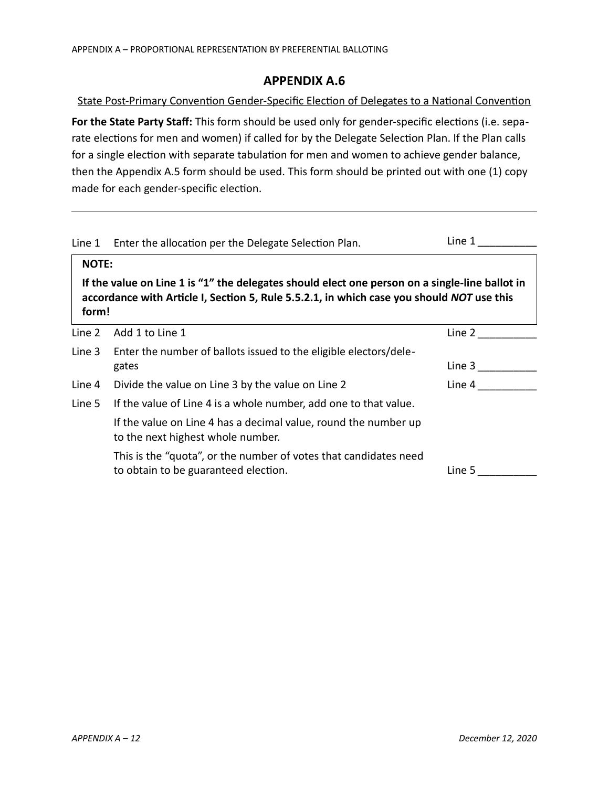State Post-Primary Convention Gender-Specific Election of Delegates to a National Convention **For the State Party Staff:** This form should be used only for gender-specific elections (i.e. separate elections for men and women) if called for by the Delegate Selection Plan. If the Plan calls for a single election with separate tabulation for men and women to achieve gender balance, then the Appendix A.5 form should be used. This form should be printed out with one (1) copy made for each gender-specific election.

| Line 1                                                                                                                                                                                               | Enter the allocation per the Delegate Selection Plan.                                                    | Line 1 |  |
|------------------------------------------------------------------------------------------------------------------------------------------------------------------------------------------------------|----------------------------------------------------------------------------------------------------------|--------|--|
| <b>NOTE:</b>                                                                                                                                                                                         |                                                                                                          |        |  |
| If the value on Line 1 is "1" the delegates should elect one person on a single-line ballot in<br>accordance with Article I, Section 5, Rule 5.5.2.1, in which case you should NOT use this<br>form! |                                                                                                          |        |  |
| Line 2                                                                                                                                                                                               | Add 1 to Line 1                                                                                          | Line 2 |  |
| Line 3                                                                                                                                                                                               | Enter the number of ballots issued to the eligible electors/dele-                                        |        |  |
|                                                                                                                                                                                                      | gates                                                                                                    | Line 3 |  |
| Line 4                                                                                                                                                                                               | Divide the value on Line 3 by the value on Line 2                                                        | Line 4 |  |
| Line 5                                                                                                                                                                                               | If the value of Line 4 is a whole number, add one to that value.                                         |        |  |
|                                                                                                                                                                                                      | If the value on Line 4 has a decimal value, round the number up<br>to the next highest whole number.     |        |  |
|                                                                                                                                                                                                      | This is the "quota", or the number of votes that candidates need<br>to obtain to be guaranteed election. | Line 5 |  |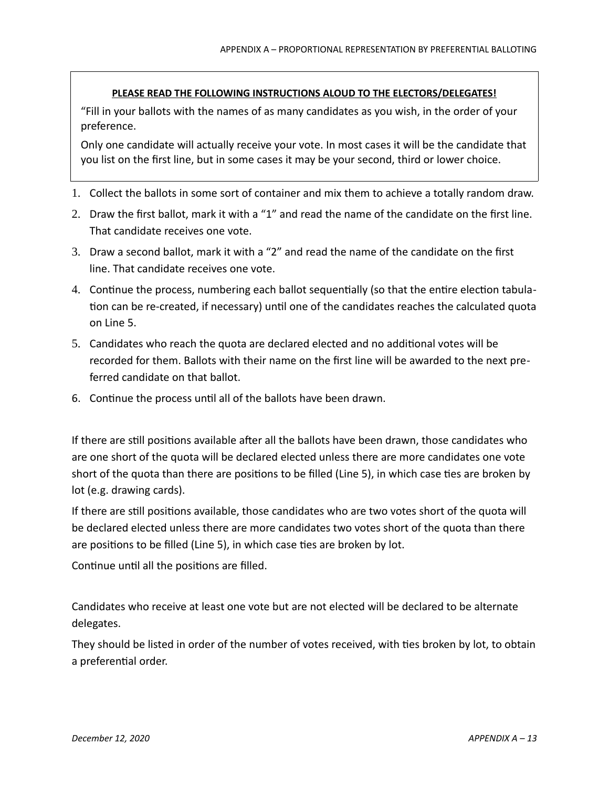### **PLEASE READ THE FOLLOWING INSTRUCTIONS ALOUD TO THE ELECTORS/DELEGATES!**

"Fill in your ballots with the names of as many candidates as you wish, in the order of your preference.

Only one candidate will actually receive your vote. In most cases it will be the candidate that you list on the first line, but in some cases it may be your second, third or lower choice.

- 1. Collect the ballots in some sort of container and mix them to achieve a totally random draw.
- 2. Draw the first ballot, mark it with a "1" and read the name of the candidate on the first line. That candidate receives one vote.
- 3. Draw a second ballot, mark it with a "2" and read the name of the candidate on the first line. That candidate receives one vote.
- 4. Continue the process, numbering each ballot sequentially (so that the entire election tabulation can be re-created, if necessary) until one of the candidates reaches the calculated quota on Line 5.
- 5. Candidates who reach the quota are declared elected and no additional votes will be recorded for them. Ballots with their name on the first line will be awarded to the next preferred candidate on that ballot.
- 6. Continue the process until all of the ballots have been drawn.

If there are still positions available after all the ballots have been drawn, those candidates who are one short of the quota will be declared elected unless there are more candidates one vote short of the quota than there are positions to be filled (Line 5), in which case ties are broken by lot (e.g. drawing cards).

If there are still positions available, those candidates who are two votes short of the quota will be declared elected unless there are more candidates two votes short of the quota than there are positions to be filled (Line 5), in which case ties are broken by lot.

Continue until all the positions are filled.

Candidates who receive at least one vote but are not elected will be declared to be alternate delegates.